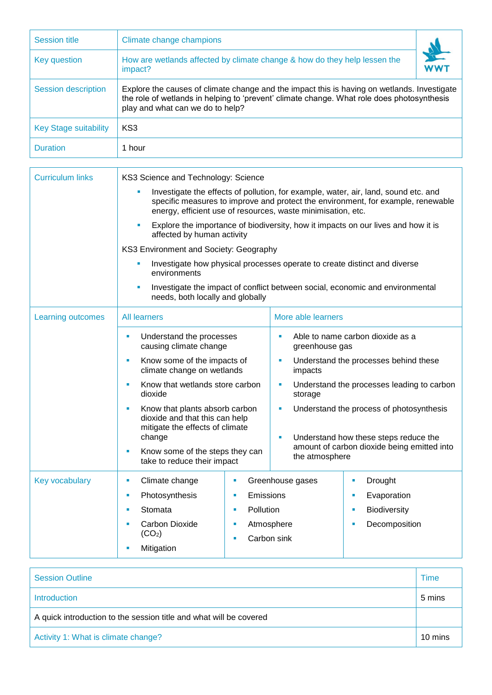| <b>Session title</b>         | Climate change champions                                                                                                                                                                                                      |     |  |  |  |
|------------------------------|-------------------------------------------------------------------------------------------------------------------------------------------------------------------------------------------------------------------------------|-----|--|--|--|
| Key question                 | How are wetlands affected by climate change & how do they help lessen the<br>impact?                                                                                                                                          | WWT |  |  |  |
| Session description          | Explore the causes of climate change and the impact this is having on wetlands. Investigate<br>the role of wetlands in helping to 'prevent' climate change. What role does photosynthesis<br>play and what can we do to help? |     |  |  |  |
| <b>Key Stage suitability</b> | KS3                                                                                                                                                                                                                           |     |  |  |  |
| <b>Duration</b>              | 1 hour                                                                                                                                                                                                                        |     |  |  |  |

| <b>Curriculum links</b> | KS3 Science and Technology: Science                                                                                                                                                                                                     |           |                                                               |                                       |  |  |
|-------------------------|-----------------------------------------------------------------------------------------------------------------------------------------------------------------------------------------------------------------------------------------|-----------|---------------------------------------------------------------|---------------------------------------|--|--|
|                         | Investigate the effects of pollution, for example, water, air, land, sound etc. and<br>specific measures to improve and protect the environment, for example, renewable<br>energy, efficient use of resources, waste minimisation, etc. |           |                                                               |                                       |  |  |
|                         | Explore the importance of biodiversity, how it impacts on our lives and how it is<br>Ē,<br>affected by human activity<br>KS3 Environment and Society: Geography                                                                         |           |                                                               |                                       |  |  |
|                         |                                                                                                                                                                                                                                         |           |                                                               |                                       |  |  |
|                         | Investigate how physical processes operate to create distinct and diverse<br>L.<br>environments                                                                                                                                         |           |                                                               |                                       |  |  |
|                         | Investigate the impact of conflict between social, economic and environmental<br>Ù,<br>needs, both locally and globally                                                                                                                 |           |                                                               |                                       |  |  |
| Learning outcomes       | <b>All learners</b>                                                                                                                                                                                                                     |           | More able learners                                            |                                       |  |  |
|                         | Understand the processes<br>u,<br>causing climate change                                                                                                                                                                                |           | Able to name carbon dioxide as a<br>Ű.<br>greenhouse gas      |                                       |  |  |
|                         | Know some of the impacts of<br>×<br>climate change on wetlands                                                                                                                                                                          |           | Understand the processes behind these<br>Ù,<br>impacts        |                                       |  |  |
|                         | Know that wetlands store carbon<br>$\overline{\phantom{a}}$<br>dioxide                                                                                                                                                                  |           | Understand the processes leading to carbon<br>Ù,<br>storage   |                                       |  |  |
|                         | Know that plants absorb carbon<br>u,<br>dioxide and that this can help<br>mitigate the effects of climate                                                                                                                               |           | Understand the process of photosynthesis<br>a,                |                                       |  |  |
|                         | change                                                                                                                                                                                                                                  |           | ×                                                             | Understand how these steps reduce the |  |  |
|                         | Know some of the steps they can<br>ш<br>take to reduce their impact                                                                                                                                                                     |           | amount of carbon dioxide being emitted into<br>the atmosphere |                                       |  |  |
| Key vocabulary          | Climate change<br>ш<br>×                                                                                                                                                                                                                |           | Greenhouse gases                                              | Drought<br>ш                          |  |  |
|                         | Photosynthesis<br>×                                                                                                                                                                                                                     | Emissions |                                                               | Evaporation<br>u,                     |  |  |
|                         | Stomata<br>٠                                                                                                                                                                                                                            | Pollution |                                                               | Biodiversity<br>٠                     |  |  |
|                         | <b>Carbon Dioxide</b><br>٠                                                                                                                                                                                                              |           | Atmosphere                                                    | Decomposition<br>ш                    |  |  |
|                         | (CO <sub>2</sub> )<br>Mitigation                                                                                                                                                                                                        |           | Carbon sink                                                   |                                       |  |  |

| <b>Session Outline</b>                                             | Time   |  |
|--------------------------------------------------------------------|--------|--|
| Introduction                                                       | 5 mins |  |
| A quick introduction to the session title and what will be covered |        |  |
| Activity 1: What is climate change?                                |        |  |